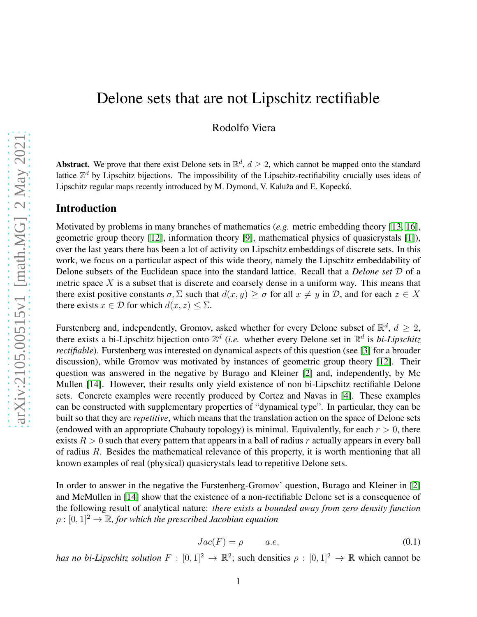## Delone sets that are not Lipschitz rectifiable

Rodolfo Viera

**Abstract.** We prove that there exist Delone sets in  $\mathbb{R}^d$ ,  $d \geq 2$ , which cannot be mapped onto the standard lattice  $\mathbb{Z}^d$  by Lipschitz bijections. The impossibility of the Lipschitz-rectifiability crucially uses ideas of Lipschitz regular maps recently introduced by M. Dymond, V. Kaluža and E. Kopecká.

#### Introduction

Motivated by problems in many branches of mathematics (*e.g.* metric embedding theory [\[13,](#page-15-0) [16\]](#page-16-0), geometric group theory [\[12\]](#page-15-1), information theory [\[9\]](#page-15-2), mathematical physics of quasicrystals [\[1\]](#page-15-3)), over the last years there has been a lot of activity on Lipschitz embeddings of discrete sets. In this work, we focus on a particular aspect of this wide theory, namely the Lipschitz embeddability of Delone subsets of the Euclidean space into the standard lattice. Recall that a *Delone set* D of a metric space  $X$  is a subset that is discrete and coarsely dense in a uniform way. This means that there exist positive constants  $\sigma$ ,  $\Sigma$  such that  $d(x, y) \ge \sigma$  for all  $x \ne y$  in  $D$ , and for each  $z \in X$ there exists  $x \in \mathcal{D}$  for which  $d(x, z) \leq \Sigma$ .

Furstenberg and, independently, Gromov, asked whether for every Delone subset of  $\mathbb{R}^d$ ,  $d \geq 2$ , there exists a bi-Lipschitz bijection onto  $\mathbb{Z}^d$  (*i.e.* whether every Delone set in  $\mathbb{R}^d$  is *bi-Lipschitz rectifiable*). Furstenberg was interested on dynamical aspects of this question (see [\[3\]](#page-15-4) for a broader discussion), while Gromov was motivated by instances of geometric group theory [\[12\]](#page-15-1). Their question was answered in the negative by Burago and Kleiner [\[2\]](#page-15-5) and, independently, by Mc Mullen [\[14\]](#page-15-6). However, their results only yield existence of non bi-Lipschitz rectifiable Delone sets. Concrete examples were recently produced by Cortez and Navas in [\[4\]](#page-15-7). These examples can be constructed with supplementary properties of "dynamical type". In particular, they can be built so that they are *repetitive*, which means that the translation action on the space of Delone sets (endowed with an appropriate Chabauty topology) is minimal. Equivalently, for each  $r > 0$ , there exists  $R > 0$  such that every pattern that appears in a ball of radius r actually appears in every ball of radius R. Besides the mathematical relevance of this property, it is worth mentioning that all known examples of real (physical) quasicrystals lead to repetitive Delone sets.

In order to answer in the negative the Furstenberg-Gromov' question, Burago and Kleiner in [\[2\]](#page-15-5) and McMullen in [\[14\]](#page-15-6) show that the existence of a non-rectifiable Delone set is a consequence of the following result of analytical nature: *there exists a bounded away from zero density function*  $\rho : [0, 1]^2 \to \mathbb{R}$ , for which the prescribed Jacobian equation

<span id="page-0-0"></span>
$$
Jac(F) = \rho \qquad a.e,
$$
\n(0.1)

*has no bi-Lipschitz solution*  $F : [0,1]^2 \to \mathbb{R}^2$ ; such densities  $\rho : [0,1]^2 \to \mathbb{R}$  which cannot be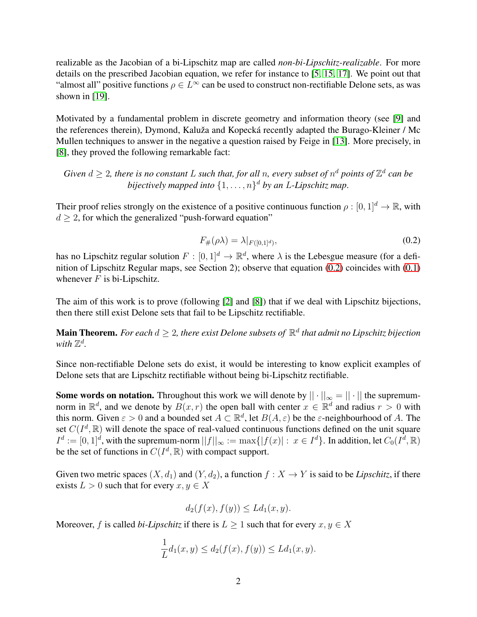realizable as the Jacobian of a bi-Lipschitz map are called *non-bi-Lipschitz-realizable*. For more details on the prescribed Jacobian equation, we refer for instance to [\[5,](#page-15-8) [15,](#page-15-9) [17\]](#page-16-1). We point out that "almost all" positive functions  $\rho \in L^{\infty}$  can be used to construct non-rectifiable Delone sets, as was shown in [\[19\]](#page-16-2).

Motivated by a fundamental problem in discrete geometry and information theory (see [\[9\]](#page-15-2) and the references therein), Dymond, Kaluža and Kopecká recently adapted the Burago-Kleiner / Mc Mullen techniques to answer in the negative a question raised by Feige in [\[13\]](#page-15-0). More precisely, in [\[8\]](#page-15-10), they proved the following remarkable fact:

*Given*  $d \geq 2$ *, there is no constant* L such that, for all n, every subset of  $n^d$  points of  $\mathbb{Z}^d$  can be *bijectively mapped into* {1, . . . , n} <sup>d</sup> *by an* L*-Lipschitz map*.

Their proof relies strongly on the existence of a positive continuous function  $\rho : [0, 1]^d \to \mathbb{R}$ , with  $d \geq 2$ , for which the generalized "push-forward equation"

<span id="page-1-0"></span>
$$
F_{\#}(\rho \lambda) = \lambda|_{F([0,1]^d)},\tag{0.2}
$$

has no Lipschitz regular solution  $F : [0,1]^d \to \mathbb{R}^d$ , where  $\lambda$  is the Lebesgue measure (for a definition of Lipschitz Regular maps, see Section 2); observe that equation [\(0.2\)](#page-1-0) coincides with [\(0.1\)](#page-0-0) whenever  $F$  is bi-Lipschitz.

The aim of this work is to prove (following [\[2\]](#page-15-5) and [\[8\]](#page-15-10)) that if we deal with Lipschitz bijections, then there still exist Delone sets that fail to be Lipschitz rectifiable.

Main Theorem. *For each*  $d \geq 2$ , there exist Delone subsets of  $\mathbb{R}^d$  that admit no Lipschitz bijection with  $\mathbb{Z}^d$ .

Since non-rectifiable Delone sets do exist, it would be interesting to know explicit examples of Delone sets that are Lipschitz rectifiable without being bi-Lipschitz rectifiable.

Some words on notation. Throughout this work we will denote by  $|| \cdot ||_{\infty} = || \cdot ||$  the supremumnorm in  $\mathbb{R}^d$ , and we denote by  $B(x, r)$  the open ball with center  $x \in \mathbb{R}^d$  and radius  $r > 0$  with this norm. Given  $\varepsilon > 0$  and a bounded set  $A \subset \mathbb{R}^d$ , let  $B(A, \varepsilon)$  be the  $\varepsilon$ -neighbourhood of A. The set  $C(I^d, \mathbb{R})$  will denote the space of real-valued continuous functions defined on the unit square  $I^d := [0, 1]^d$ , with the supremum-norm  $||f||_{\infty} := \max\{|f(x)| : x \in I^d\}$ . In addition, let  $C_0(I^d, \mathbb{R})$ be the set of functions in  $C(I^d, \mathbb{R})$  with compact support.

Given two metric spaces  $(X, d_1)$  and  $(Y, d_2)$ , a function  $f : X \to Y$  is said to be *Lipschitz*, if there exists  $L > 0$  such that for every  $x, y \in X$ 

$$
d_2(f(x), f(y)) \le Ld_1(x, y).
$$

Moreover, f is called *bi-Lipschitz* if there is  $L \geq 1$  such that for every  $x, y \in X$ 

$$
\frac{1}{L}d_1(x,y) \le d_2(f(x), f(y)) \le Ld_1(x,y).
$$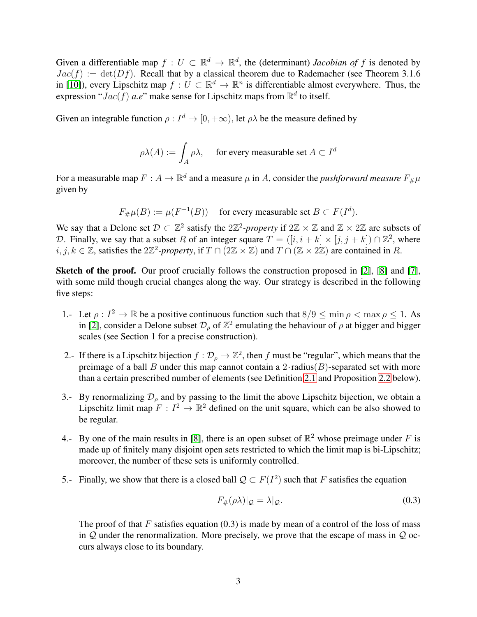Given a differentiable map  $f: U \subset \mathbb{R}^d \to \mathbb{R}^d$ , the (determinant) *Jacobian of* f is denoted by  $Jac(f) := det(Df)$ . Recall that by a classical theorem due to Rademacher (see Theorem 3.1.6) in [\[10\]](#page-15-11)), every Lipschitz map  $f: U \subset \mathbb{R}^d \to \mathbb{R}^n$  is differentiable almost everywhere. Thus, the expression " $Jac(f)$  *a.e*" make sense for Lipschitz maps from  $\mathbb{R}^d$  to itself.

Given an integrable function  $\rho: I^d \to [0, +\infty)$ , let  $\rho \lambda$  be the measure defined by

$$
\rho\lambda(A) := \int_A \rho\lambda, \quad \text{ for every measurable set } A \subset I^d
$$

For a measurable map  $F: A \to \mathbb{R}^d$  and a measure  $\mu$  in A, consider the *pushforward measure*  $F_{\#}\mu$ given by

$$
F_{\#}\mu(B) := \mu(F^{-1}(B)) \quad \text{ for every measurable set } B \subset F(I^d).
$$

We say that a Delone set  $\mathcal{D} \subset \mathbb{Z}^2$  satisfy the  $2\mathbb{Z}^2$ -property if  $2\mathbb{Z} \times \mathbb{Z}$  and  $\mathbb{Z} \times 2\mathbb{Z}$  are subsets of D. Finally, we say that a subset R of an integer square  $T = ([i, i + k] \times [j, j + k]) \cap \mathbb{Z}^2$ , where *i*, *j*, *k* ∈  $\mathbb{Z}$ , satisfies the 2 $\mathbb{Z}^2$ -property, if  $T \cap (2\mathbb{Z} \times \mathbb{Z})$  and  $T \cap (\mathbb{Z} \times 2\mathbb{Z})$  are contained in R.

Sketch of the proof. Our proof crucially follows the construction proposed in [\[2\]](#page-15-5), [\[8\]](#page-15-10) and [\[7\]](#page-15-12), with some mild though crucial changes along the way. Our strategy is described in the following five steps:

- 1.- Let  $\rho: I^2 \to \mathbb{R}$  be a positive continuous function such that  $8/9 \le \min \rho < \max \rho \le 1$ . As in [\[2\]](#page-15-5), consider a Delone subset  $\mathcal{D}_{\rho}$  of  $\mathbb{Z}^2$  emulating the behaviour of  $\rho$  at bigger and bigger scales (see Section 1 for a precise construction).
- 2.- If there is a Lipschitz bijection  $f : \mathcal{D}_\rho \to \mathbb{Z}^2$ , then f must be "regular", which means that the preimage of a ball B under this map cannot contain a  $2 \cdot$  radius(B)-separated set with more than a certain prescribed number of elements (see Definition [2.1](#page-4-0) and Proposition [2.2](#page-4-1) below).
- 3.- By renormalizing  $\mathcal{D}_{\rho}$  and by passing to the limit the above Lipschitz bijection, we obtain a Lipschitz limit map  $F: I^2 \to \mathbb{R}^2$  defined on the unit square, which can be also showed to be regular.
- 4.- By one of the main results in [\[8\]](#page-15-10), there is an open subset of  $\mathbb{R}^2$  whose preimage under F is made up of finitely many disjoint open sets restricted to which the limit map is bi-Lipschitz; moreover, the number of these sets is uniformly controlled.
- 5.- Finally, we show that there is a closed ball  $\mathcal{Q} \subset F(I^2)$  such that F satisfies the equation

$$
F_{\#}(\rho \lambda)|_{\mathcal{Q}} = \lambda|_{\mathcal{Q}}.\tag{0.3}
$$

The proof of that  $F$  satisfies equation (0.3) is made by mean of a control of the loss of mass in  $Q$  under the renormalization. More precisely, we prove that the escape of mass in  $Q$  occurs always close to its boundary.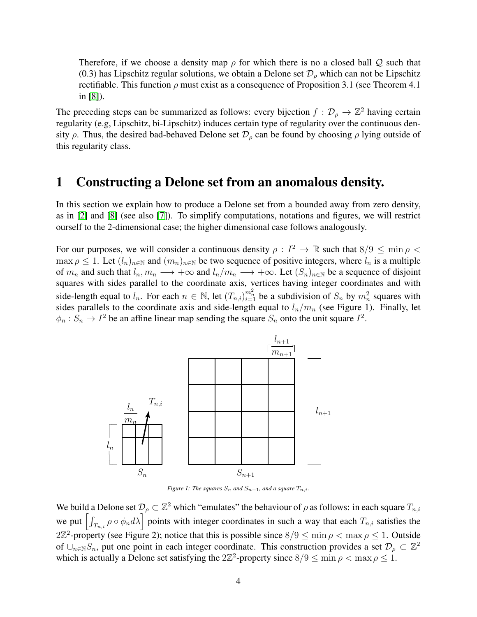Therefore, if we choose a density map  $\rho$  for which there is no a closed ball Q such that (0.3) has Lipschitz regular solutions, we obtain a Delone set  $\mathcal{D}_{\rho}$  which can not be Lipschitz rectifiable. This function  $\rho$  must exist as a consequence of Proposition 3.1 (see Theorem 4.1) in [\[8\]](#page-15-10)).

The preceding steps can be summarized as follows: every bijection  $f : \mathcal{D}_{\rho} \to \mathbb{Z}^2$  having certain regularity (e.g, Lipschitz, bi-Lipschitz) induces certain type of regularity over the continuous density  $\rho$ . Thus, the desired bad-behaved Delone set  $\mathcal{D}_{\rho}$  can be found by choosing  $\rho$  lying outside of this regularity class.

### 1 Constructing a Delone set from an anomalous density.

In this section we explain how to produce a Delone set from a bounded away from zero density, as in [\[2\]](#page-15-5) and [\[8\]](#page-15-10) (see also [\[7\]](#page-15-12)). To simplify computations, notations and figures, we will restrict ourself to the 2-dimensional case; the higher dimensional case follows analogously.

For our purposes, we will consider a continuous density  $\rho: I^2 \to \mathbb{R}$  such that  $8/9 \le \min \rho <$  $\max \rho \leq 1$ . Let  $(l_n)_{n \in \mathbb{N}}$  and  $(m_n)_{n \in \mathbb{N}}$  be two sequence of positive integers, where  $l_n$  is a multiple of  $m_n$  and such that  $l_n, m_n \longrightarrow +\infty$  and  $l_n/m_n \longrightarrow +\infty$ . Let  $(S_n)_{n\in\mathbb{N}}$  be a sequence of disjoint squares with sides parallel to the coordinate axis, vertices having integer coordinates and with side-length equal to  $l_n$ . For each  $n \in \mathbb{N}$ , let  $(T_{n,i})_{i=1}^{m_n^2}$  be a subdivision of  $S_n$  by  $m_n^2$  squares with sides parallels to the coordinate axis and side-length equal to  $l_n/m_n$  (see Figure 1). Finally, let  $\phi_n : S_n \to I^2$  be an affine linear map sending the square  $S_n$  onto the unit square  $I^2$ .



*Figure 1: The squares*  $S_n$  *and*  $S_{n+1}$ *, and a square*  $T_{n,i}$ *.* 

We build a Delone set  $\mathcal{D}_{\rho} \subset \mathbb{Z}^2$  which "emulates" the behaviour of  $\rho$  as follows: in each square  $T_{n,i}$ we put  $\left[\int_{T_{n,i}} \rho \circ \phi_n d\lambda\right]$  points with integer coordinates in such a way that each  $T_{n,i}$  satisfies the  $2\mathbb{Z}^2$ -property (see Figure 2); notice that this is possible since  $8/9 \le \min \rho < \max \rho \le 1$ . Outside of  $\cup_{n\in\mathbb{N}}S_n$ , put one point in each integer coordinate. This construction provides a set  $\mathcal{D}_\rho\subset\mathbb{Z}^2$ which is actually a Delone set satisfying the  $2\mathbb{Z}^2$ -property since  $8/9 \le \min \rho < \max \rho \le 1$ .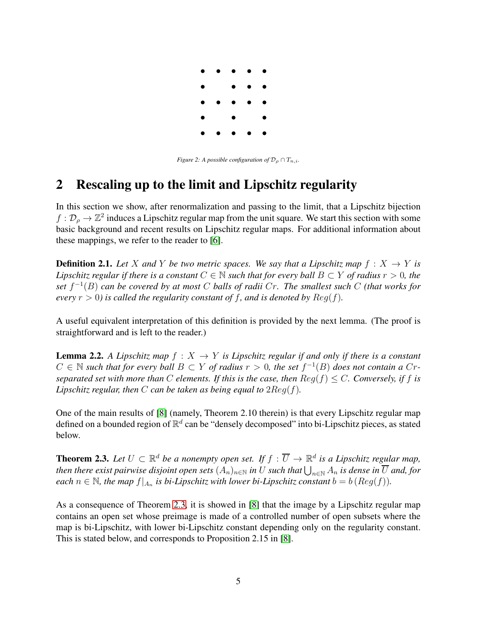

*Figure 2: A possible configuration of*  $\mathcal{D}_{\rho} \cap T_{n,i}$ *.* 

# 2 Rescaling up to the limit and Lipschitz regularity

In this section we show, after renormalization and passing to the limit, that a Lipschitz bijection  $f: \mathcal{D}_\rho \to \mathbb{Z}^2$  induces a Lipschitz regular map from the unit square. We start this section with some basic background and recent results on Lipschitz regular maps. For additional information about these mappings, we refer to the reader to [\[6\]](#page-15-13).

<span id="page-4-0"></span>**Definition 2.1.** Let X and Y be two metric spaces. We say that a Lipschitz map  $f: X \rightarrow Y$  is *Lipschitz regular if there is a constant*  $C \in \mathbb{N}$  *such that for every ball*  $B \subset Y$  *of radius*  $r > 0$ *, the set* f −1 (B) *can be covered by at most* C *balls of radii* Cr*. The smallest such* C *(that works for every*  $r > 0$ *) is called the regularity constant of f, and is denoted by*  $Req(f)$ *.* 

A useful equivalent interpretation of this definition is provided by the next lemma. (The proof is straightforward and is left to the reader.)

<span id="page-4-1"></span>**Lemma 2.2.** A Lipschitz map  $f : X \to Y$  is Lipschitz regular if and only if there is a constant  $C \in \mathbb{N}$  such that for every ball  $B \subset Y$  of radius  $r > 0$ , the set  $f^{-1}(B)$  does not contain a  $Cr$ *separated set with more than* C *elements. If this is the case, then*  $Req(f) \leq C$ *. Conversely, if f is Lipschitz regular, then*  $C$  *can be taken as being equal to*  $2Reg(f)$ *.* 

One of the main results of [\[8\]](#page-15-10) (namely, Theorem 2.10 therein) is that every Lipschitz regular map defined on a bounded region of  $\mathbb{R}^d$  can be "densely decomposed" into bi-Lipschitz pieces, as stated below.

<span id="page-4-2"></span>**Theorem 2.3.** Let  $U \subset \mathbb{R}^d$  be a nonempty open set. If  $f : \overline{U} \to \mathbb{R}^d$  is a Lipschitz regular map, then there exist pairwise disjoint open sets  $(A_n)_{n\in\mathbb N}$  in  $U$  such that  $\bigcup_{n\in\mathbb N}A_n$  is dense in  $\overline U$  and, for *each*  $n \in \mathbb{N}$ , the map  $f|_{A_n}$  is bi-Lipschitz with lower bi-Lipschitz constant  $b = b$  ( $Reg(f)$ ).

As a consequence of Theorem [2.3,](#page-4-2) it is showed in [\[8\]](#page-15-10) that the image by a Lipschitz regular map contains an open set whose preimage is made of a controlled number of open subsets where the map is bi-Lipschitz, with lower bi-Lipschitz constant depending only on the regularity constant. This is stated below, and corresponds to Proposition 2.15 in [\[8\]](#page-15-10).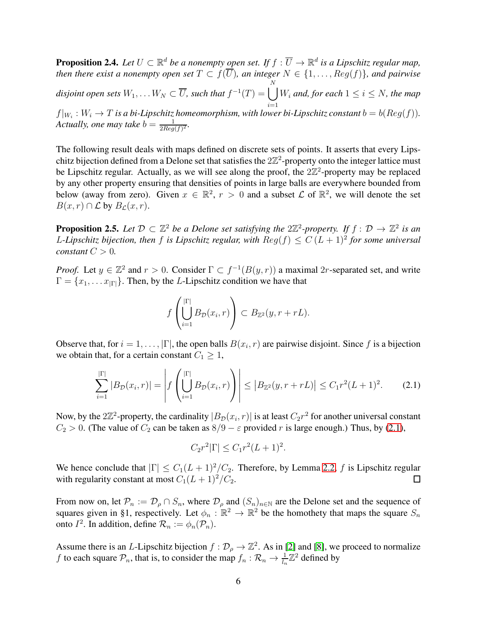<span id="page-5-1"></span>**Proposition 2.4.** Let  $U \subset \mathbb{R}^d$  be a nonempty open set. If  $f : \overline{U} \to \mathbb{R}^d$  is a Lipschitz regular map, *then there exist a nonempty open set*  $T \subset f(\overline{U})$ *, an integer*  $N \in \{1, ..., Reg(f)\}$ *, and pairwise*  $disjoint$  open sets  $W_1, \ldots W_N \subset \overline{U}$ , such that  $f^{-1}(T) = \bigcup$ N  $\frac{i=1}{i}$  $W_i$  and, for each  $1 \leq i \leq N$ , the map  $f|_{W_i}: W_i \to T$  is a bi-Lipschitz homeomorphism, with lower bi-Lipschitz constant  $b = b(Reg(f))$ . *Actually, one may take*  $b = \frac{1}{2Reg}$  $\frac{1}{2Reg(f)^2}$ .

The following result deals with maps defined on discrete sets of points. It asserts that every Lipschitz bijection defined from a Delone set that satisfies the  $2\mathbb{Z}^2$ -property onto the integer lattice must be Lipschitz regular. Actually, as we will see along the proof, the  $2\mathbb{Z}^2$ -property may be replaced by any other property ensuring that densities of points in large balls are everywhere bounded from below (away from zero). Given  $x \in \mathbb{R}^2$ ,  $r > 0$  and a subset  $\mathcal L$  of  $\mathbb{R}^2$ , we will denote the set  $B(x, r) \cap \mathcal{L}$  by  $B_{\mathcal{L}}(x, r)$ .

**Proposition 2.5.** Let  $\mathcal{D} \subset \mathbb{Z}^2$  be a Delone set satisfying the  $2\mathbb{Z}^2$ -property. If  $f: \mathcal{D} \to \mathbb{Z}^2$  is an L-Lipschitz bijection, then f is Lipschitz regular, with  $Reg(f) \leq C (L + 1)^2$  for some universal *constant*  $C > 0$ *.* 

*Proof.* Let  $y \in \mathbb{Z}^2$  and  $r > 0$ . Consider  $\Gamma \subset f^{-1}(B(y, r))$  a maximal 2r-separated set, and write  $\Gamma = \{x_1, \dots x_{|\Gamma|}\}\.$  Then, by the L-Lipschitz condition we have that

$$
f\left(\bigcup_{i=1}^{|\Gamma|} B_{\mathcal{D}}(x_i,r)\right) \subset B_{\mathbb{Z}^2}(y,r+rL).
$$

Observe that, for  $i = 1, ..., |\Gamma|$ , the open balls  $B(x_i, r)$  are pairwise disjoint. Since f is a bijection we obtain that, for a certain constant  $C_1 \geq 1$ ,

<span id="page-5-0"></span>
$$
\sum_{i=1}^{|\Gamma|} |B_{\mathcal{D}}(x_i, r)| = \left| f\left(\bigcup_{i=1}^{|\Gamma|} B_{\mathcal{D}}(x_i, r)\right) \right| \le |B_{\mathbb{Z}^2}(y, r + rL)| \le C_1 r^2 (L+1)^2. \tag{2.1}
$$

Now, by the  $2\mathbb{Z}^2$ -property, the cardinality  $|B_{\mathcal{D}}(x_i, r)|$  is at least  $C_2r^2$  for another universal constant  $C_2 > 0$ . (The value of  $C_2$  can be taken as  $8/9 - \varepsilon$  provided r is large enough.) Thus, by [\(2.1\)](#page-5-0),

$$
C_2 r^2 |\Gamma| \le C_1 r^2 (L+1)^2.
$$

We hence conclude that  $|\Gamma| \leq C_1(L+1)^2/C_2$ . Therefore, by Lemma [2.2,](#page-4-1) f is Lipschitz regular with regularity constant at most  $C_1(L+1)^2/C_2$ . with regularity constant at most  $C_1(L+1)^2/C_2$ .

From now on, let  $\mathcal{P}_n := \mathcal{D}_{\rho} \cap S_n$ , where  $\mathcal{D}_{\rho}$  and  $(S_n)_{n \in \mathbb{N}}$  are the Delone set and the sequence of squares given in §1, respectively. Let  $\phi_n : \mathbb{R}^2 \to \mathbb{R}^2$  be the homothety that maps the square  $S_n$ onto  $I^2$ . In addition, define  $\mathcal{R}_n := \phi_n(\mathcal{P}_n)$ .

Assume there is an *L*-Lipschitz bijection  $f : \mathcal{D}_\rho \to \mathbb{Z}^2$ . As in [\[2\]](#page-15-5) and [\[8\]](#page-15-10), we proceed to normalize f to each square  $P_n$ , that is, to consider the map  $f_n : \mathcal{R}_n \to \frac{1}{l_n} \mathbb{Z}^2$  defined by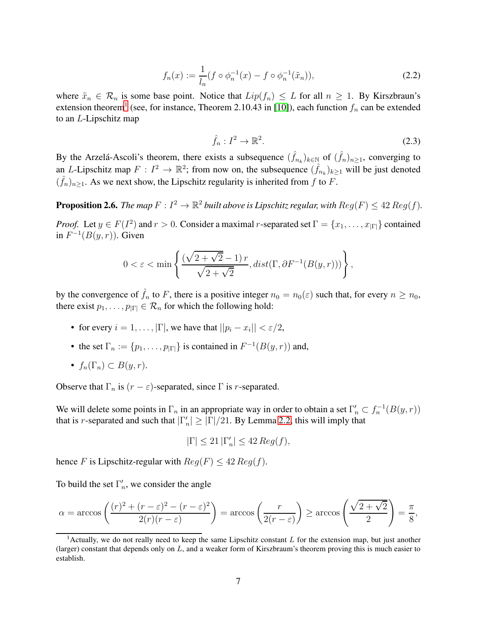<span id="page-6-1"></span>
$$
f_n(x) := \frac{1}{l_n} (f \circ \phi_n^{-1}(x) - f \circ \phi_n^{-1}(\tilde{x}_n)),
$$
\n(2.2)

where  $\tilde{x}_n \in \mathcal{R}_n$  is some base point. Notice that  $Lip(f_n) \leq L$  for all  $n \geq 1$ . By Kirszbraun's extension theorem<sup>[1](#page-6-0)</sup> (see, for instance, Theorem 2.10.43 in [\[10\]](#page-15-11)), each function  $f_n$  can be extended to an L-Lipschitz map

<span id="page-6-2"></span>
$$
\hat{f}_n: I^2 \to \mathbb{R}^2. \tag{2.3}
$$

By the Arzelá-Ascoli's theorem, there exists a subsequence  $(\hat{f}_{n_k})_{k \in \mathbb{N}}$  of  $(\hat{f}_n)_{n \geq 1}$ , converging to an *L*-Lipschitz map  $F: I^2 \to \mathbb{R}^2$ ; from now on, the subsequence  $(\hat{f}_{n_k})_{k\geq 1}$  will be just denoted  $(\hat{f}_n)_{n\geq 1}$ . As we next show, the Lipschitz regularity is inherited from f to F.

**Proposition 2.6.** The map  $F: I^2 \to \mathbb{R}^2$  built above is Lipschitz regular, with  $Reg(F) \leq 42 Reg(f)$ .

*Proof.* Let  $y \in F(I^2)$  and  $r > 0$ . Consider a maximal r-separated set  $\Gamma = \{x_1, \ldots, x_{|\Gamma|}\}$  contained in  $F^{-1}(B(y, r))$ . Given

$$
0 < \varepsilon < \min \left\{ \frac{(\sqrt{2 + \sqrt{2}} - 1) r}{\sqrt{2 + \sqrt{2}}}, dist(\Gamma, \partial F^{-1}(B(y, r))) \right\},\,
$$

by the convergence of  $\hat{f}_n$  to F, there is a positive integer  $n_0 = n_0(\varepsilon)$  such that, for every  $n \ge n_0$ , there exist  $p_1, \ldots, p_{|\Gamma|} \in \mathcal{R}_n$  for which the following hold:

- for every  $i = 1, ..., |\Gamma|$ , we have that  $||p_i x_i|| < \varepsilon/2$ ,
- the set  $\Gamma_n := \{p_1, \ldots, p_{|\Gamma|}\}\$ is contained in  $F^{-1}(B(y, r))$  and,

• 
$$
f_n(\Gamma_n) \subset B(y,r)
$$
.

Observe that  $\Gamma_n$  is  $(r - \varepsilon)$ -separated, since  $\Gamma$  is *r*-separated.

We will delete some points in  $\Gamma_n$  in an appropriate way in order to obtain a set  $\Gamma'_n \subset f_n^{-1}(B(y,r))$ that is r-separated and such that  $|\Gamma'_n| \geq |\Gamma|/21$ . By Lemma [2.2,](#page-4-1) this will imply that

$$
|\Gamma| \le 21 |\Gamma_n'| \le 42 \text{ Reg}(f),
$$

hence F is Lipschitz-regular with  $Reg(F) \leq 42 Reg(f)$ .

To build the set  $\Gamma'_n$ , we consider the angle

$$
\alpha = \arccos\left(\frac{(r)^2 + (r - \varepsilon)^2 - (r - \varepsilon)^2}{2(r)(r - \varepsilon)}\right) = \arccos\left(\frac{r}{2(r - \varepsilon)}\right) \ge \arccos\left(\frac{\sqrt{2 + \sqrt{2}}}{2}\right) = \frac{\pi}{8},
$$

<span id="page-6-0"></span><sup>&</sup>lt;sup>1</sup> Actually, we do not really need to keep the same Lipschitz constant  $L$  for the extension map, but just another (larger) constant that depends only on L, and a weaker form of Kirszbraum's theorem proving this is much easier to establish.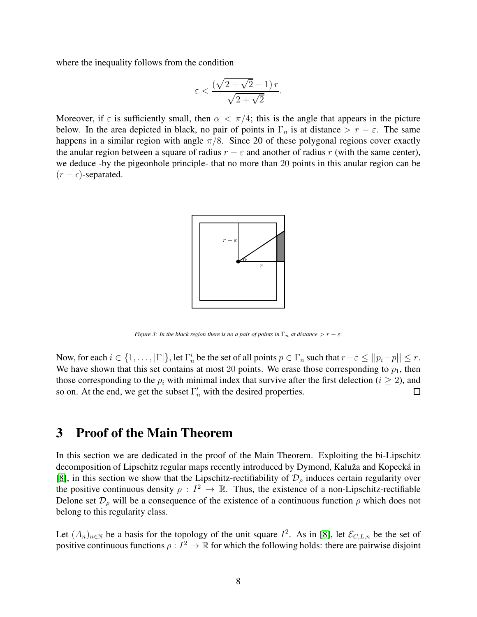where the inequality follows from the condition

$$
\varepsilon < \frac{\left(\sqrt{2+\sqrt{2}}-1\right) r}{\sqrt{2+\sqrt{2}}}.
$$

Moreover, if  $\varepsilon$  is sufficiently small, then  $\alpha < \pi/4$ ; this is the angle that appears in the picture below. In the area depicted in black, no pair of points in  $\Gamma_n$  is at distance >  $r - \varepsilon$ . The same happens in a similar region with angle  $\pi/8$ . Since 20 of these polygonal regions cover exactly the anular region between a square of radius  $r - \varepsilon$  and another of radius r (with the same center), we deduce -by the pigeonhole principle- that no more than 20 points in this anular region can be  $(r - \epsilon)$ -separated.



*Figure 3: In the black region there is no a pair of points in*  $\Gamma_n$  *at distance* >  $r - \varepsilon$ *.* 

Now, for each  $i \in \{1, ..., |\Gamma|\}$ , let  $\Gamma_n^i$  be the set of all points  $p \in \Gamma_n$  such that  $r - \varepsilon \le ||p_i - p|| \le r$ . We have shown that this set contains at most 20 points. We erase those corresponding to  $p_1$ , then those corresponding to the  $p_i$  with minimal index that survive after the first delection ( $i \ge 2$ ), and so on. At the end, we get the subset  $\Gamma'_n$  with the desired properties. so on. At the end, we get the subset  $\Gamma'_n$  with the desired properties.

## 3 Proof of the Main Theorem

In this section we are dedicated in the proof of the Main Theorem. Exploiting the bi-Lipschitz decomposition of Lipschitz regular maps recently introduced by Dymond, Kaluža and Kopecká in [\[8\]](#page-15-10), in this section we show that the Lipschitz-rectifiability of  $\mathcal{D}_{\rho}$  induces certain regularity over the positive continuous density  $\rho: I^2 \to \mathbb{R}$ . Thus, the existence of a non-Lipschitz-rectifiable Delone set  $\mathcal{D}_{\rho}$  will be a consequence of the existence of a continuous function  $\rho$  which does not belong to this regularity class.

Let  $(A_n)_{n\in\mathbb{N}}$  be a basis for the topology of the unit square  $I^2$ . As in [\[8\]](#page-15-10), let  $\mathcal{E}_{C,L,n}$  be the set of positive continuous functions  $\rho: I^2 \to \mathbb{R}$  for which the following holds: there are pairwise disjoint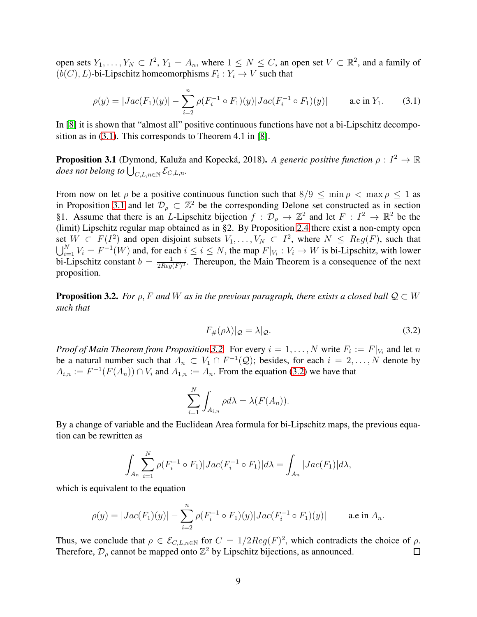open sets  $Y_1, \ldots, Y_N \subset I^2$ ,  $Y_1 = A_n$ , where  $1 \leq N \leq C$ , an open set  $V \subset \mathbb{R}^2$ , and a family of  $(b(C), L)$ -bi-Lipschitz homeomorphisms  $F_i: Y_i \to V$  such that

<span id="page-8-0"></span>
$$
\rho(y) = |Jac(F_1)(y)| - \sum_{i=2}^n \rho(F_i^{-1} \circ F_1)(y)|Jac(F_i^{-1} \circ F_1)(y)| \qquad \text{a.e in } Y_1.
$$
 (3.1)

In [\[8\]](#page-15-10) it is shown that "almost all" positive continuous functions have not a bi-Lipschitz decomposition as in [\(3.1\)](#page-8-0). This corresponds to Theorem 4.1 in [\[8\]](#page-15-10).

<span id="page-8-1"></span>**Proposition 3.1** (Dymond, Kaluža and Kopecká, 2018). *A generic positive function*  $\rho: I^2 \to \mathbb{R}$  $\partial$ *does not belong to*  $\bigcup_{C,L,n\in\mathbb{N}}\mathcal{E}_{C,L,n}$ .

From now on let  $\rho$  be a positive continuous function such that  $8/9 \leq \min \rho < \max \rho \leq 1$  as in Proposition [3.1](#page-8-1) and let  $\mathcal{D}_{\rho} \subset \mathbb{Z}^2$  be the corresponding Delone set constructed as in section §1. Assume that there is an *L*-Lipschitz bijection  $f : \mathcal{D}_{\rho} \to \mathbb{Z}^2$  and let  $F : I^2 \to \mathbb{R}^2$  be the (limit) Lipschitz regular map obtained as in §2. By Proposition [2.4](#page-5-1) there exist a non-empty open set  $W \subset F(I^2)$  and open disjoint subsets  $V_1, \ldots, V_N \subset I^2$ , where  $N \leq Reg(F)$ , such that  $\bigcup_{i=1}^{N} V_i = F^{-1}(W)$  and, for each  $i \leq i \leq N$ , the map  $F|_{V_i}: V_i \to W$  is bi-Lipschitz, with lower bi-Lipschitz constant  $b = \frac{1}{2Requ}$  $\frac{1}{2Reg(F)^2}$ . Thereupon, the Main Theorem is a consequence of the next proposition.

<span id="page-8-2"></span>**Proposition 3.2.** *For*  $\rho$ , F and W as in the previous paragraph, there exists a closed ball  $\mathcal{Q} \subset W$ *such that*

<span id="page-8-3"></span>
$$
F_{\#}(\rho \lambda)|_{\mathcal{Q}} = \lambda|_{\mathcal{Q}}.\tag{3.2}
$$

*Proof of Main Theorem from Proposition* [3.2.](#page-8-2) For every  $i = 1, ..., N$  write  $F_i := F|_{V_i}$  and let n be a natural number such that  $A_n \subset V_1 \cap F^{-1}(\mathcal{Q})$ ; besides, for each  $i = 2, ..., N$  denote by  $A_{i,n} := F^{-1}(F(A_n)) \cap V_i$  and  $A_{1,n} := A_n$ . From the equation [\(3.2\)](#page-8-3) we have that

$$
\sum_{i=1}^{N} \int_{A_{i,n}} \rho d\lambda = \lambda(F(A_n)).
$$

By a change of variable and the Euclidean Area formula for bi-Lipschitz maps, the previous equation can be rewritten as

$$
\int_{A_n} \sum_{i=1}^N \rho(F_i^{-1} \circ F_1) |Jac(F_i^{-1} \circ F_1)| d\lambda = \int_{A_n} |Jac(F_1)| d\lambda,
$$

which is equivalent to the equation

$$
\rho(y) = |Jac(F_1)(y)| - \sum_{i=2}^n \rho(F_i^{-1} \circ F_1)(y)|Jac(F_i^{-1} \circ F_1)(y)| \qquad \text{a.e in } A_n.
$$

Thus, we conclude that  $\rho \in \mathcal{E}_{C, L, n \in \mathbb{N}}$  for  $C = 1/2Reg(F)^2$ , which contradicts the choice of  $\rho$ . Therefore,  $\mathcal{D}_{\rho}$  cannot be mapped onto  $\mathbb{Z}^2$  by Lipschitz bijections, as announced.  $\Box$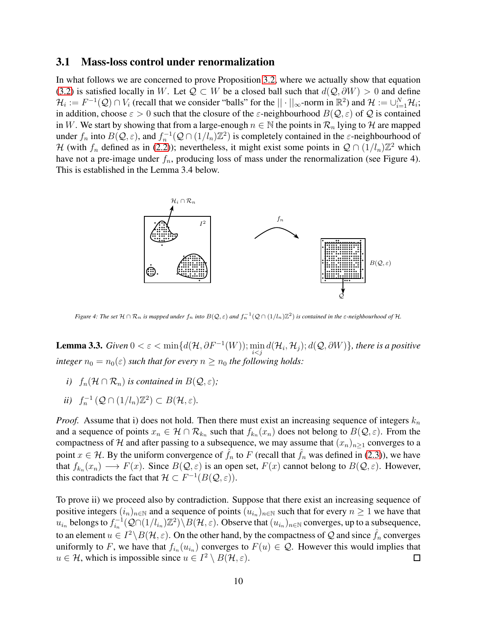#### 3.1 Mass-loss control under renormalization

In what follows we are concerned to prove Proposition [3.2,](#page-8-2) where we actually show that equation [\(3.2\)](#page-8-3) is satisfied locally in W. Let  $Q \subset W$  be a closed ball such that  $d(Q, \partial W) > 0$  and define  $\mathcal{H}_i := F^{-1}(\mathcal{Q}) \cap V_i$  (recall that we consider "balls" for the  $|| \cdot ||_{\infty}$ -norm in  $\mathbb{R}^2$ ) and  $\mathcal{H} := \cup_{i=1}^N \mathcal{H}_i$ ; in addition, choose  $\varepsilon > 0$  such that the closure of the  $\varepsilon$ -neighbourhood  $B(Q, \varepsilon)$  of Q is contained in W. We start by showing that from a large-enough  $n \in \mathbb{N}$  the points in  $\mathcal{R}_n$  lying to H are mapped under  $f_n$  into  $B(Q, \varepsilon)$ , and  $f_n^{-1}(Q \cap (1/l_n)\mathbb{Z}^2)$  is completely contained in the  $\varepsilon$ -neighbourhood of H (with  $f_n$  defined as in [\(2.2\)](#page-6-1)); nevertheless, it might exist some points in  $\mathcal{Q} \cap (1/l_n)\mathbb{Z}^2$  which have not a pre-image under  $f_n$ , producing loss of mass under the renormalization (see Figure 4). This is established in the Lemma 3.4 below.



Figure 4: The set  $H \cap R_n$  is mapped under  $f_n$  into  $B(Q,\varepsilon)$  and  $f_n^{-1}(Q \cap (1/l_n)\mathbb{Z}^2)$  is contained in the  $\varepsilon$ -neighbourhood of  $\mathcal{H}$ .

<span id="page-9-0"></span>**Lemma 3.3.**  $Given\ 0<\varepsilon<\min\{d(\mathcal{H},\partial F^{-1}(W));\min_{i there is a positive$ *integer*  $n_0 = n_0(\varepsilon)$  *such that for every*  $n \geq n_0$  *the following holds:* 

- *i*)  $f_n(\mathcal{H} \cap \mathcal{R}_n)$  *is contained in*  $B(\mathcal{Q}, \varepsilon)$ *;*
- *ii*)  $f_n^{-1}(Q \cap (1/l_n)\mathbb{Z}^2) \subset B(H,\varepsilon)$ *.*

*Proof.* Assume that i) does not hold. Then there must exist an increasing sequence of integers  $k_n$ and a sequence of points  $x_n \in \mathcal{H} \cap \mathcal{R}_{k_n}$  such that  $f_{k_n}(x_n)$  does not belong to  $B(\mathcal{Q}, \varepsilon)$ . From the compactness of H and after passing to a subsequence, we may assume that  $(x_n)_{n\geq 1}$  converges to a point  $x \in \mathcal{H}$ . By the uniform convergence of  $\hat{f}_n$  to F (recall that  $\hat{f}_n$  was defined in [\(2.3\)](#page-6-2)), we have that  $f_{k_n}(x_n) \longrightarrow F(x)$ . Since  $B(Q, \varepsilon)$  is an open set,  $F(x)$  cannot belong to  $B(Q, \varepsilon)$ . However, this contradicts the fact that  $\mathcal{H} \subset F^{-1}(B(\mathcal{Q},\varepsilon)).$ 

To prove ii) we proceed also by contradiction. Suppose that there exist an increasing sequence of positive integers  $(i_n)_{n \in \mathbb{N}}$  and a sequence of points  $(u_{i_n})_{n \in \mathbb{N}}$  such that for every  $n \ge 1$  we have that  $u_{i_n}$  belongs to  $f_{i_n}^{-1}$  $\mathcal{E}_{i_n}^{-1}(\mathcal{Q}\cap(1/l_{i_n})\mathbb{Z}^2)\setminus B(\mathcal{H},\varepsilon)$ . Observe that  $(u_{i_n})_{n\in\mathbb{N}}$  converges, up to a subsequence, to an element  $u \in I^2 \setminus B(H, \varepsilon)$ . On the other hand, by the compactness of Q and since  $\hat{f}_n$  converges uniformly to F, we have that  $f_{i_n}(u_{i_n})$  converges to  $F(u) \in \mathcal{Q}$ . However this would implies that  $u \in \mathcal{H}$ , which is impossible since  $u \in I^2 \setminus B(\mathcal{H}, \varepsilon)$ .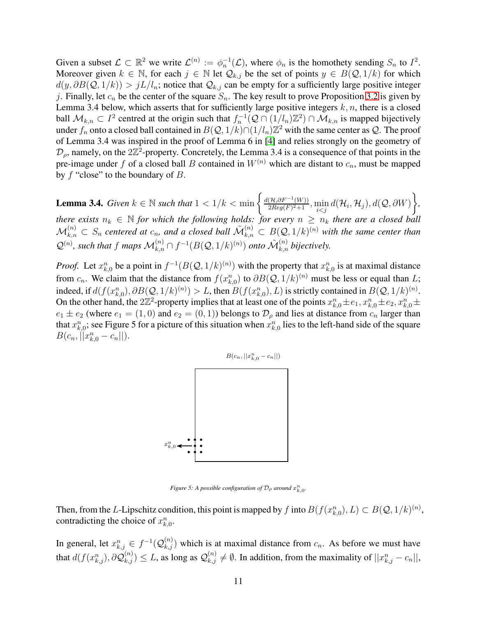Given a subset  $\mathcal{L} \subset \mathbb{R}^2$  we write  $\mathcal{L}^{(n)} := \phi_n^{-1}(\mathcal{L})$ , where  $\phi_n$  is the homothety sending  $S_n$  to  $I^2$ . Moreover given  $k \in \mathbb{N}$ , for each  $j \in \mathbb{N}$  let  $\mathcal{Q}_{k,j}$  be the set of points  $y \in B(\mathcal{Q}, 1/k)$  for which  $d(y, \partial B(Q, 1/k)) > jL/l_n$ ; notice that  $\mathcal{Q}_{k,j}$  can be empty for a sufficiently large positive integer j. Finally, let  $c_n$  be the center of the square  $S_n$ . The key result to prove Proposition [3.2](#page-8-2) is given by Lemma 3.4 below, which asserts that for sufficiently large positive integers  $k, n$ , there is a closed ball  $M_{k,n} \subset I^2$  centred at the origin such that  $f_n^{-1}(Q \cap (1/l_n)\mathbb{Z}^2) \cap M_{k,n}$  is mapped bijectively under  $f_n$  onto a closed ball contained in  $B(Q, 1/k) \cap (1/l_n) \mathbb{Z}^2$  with the same center as  $Q$ . The proof of Lemma 3.4 was inspired in the proof of Lemma 6 in [\[4\]](#page-15-7) and relies strongly on the geometry of  $\mathcal{D}_{\rho}$ , namely, on the 2 $\mathbb{Z}^2$ -property. Concretely, the Lemma 3.4 is a consequence of that points in the pre-image under f of a closed ball B contained in  $W^{(n)}$  which are distant to  $c_n$ , must be mapped by  $f$  "close" to the boundary of  $B$ .

<span id="page-10-0"></span>**Lemma 3.4.** *Given*  $k \in \mathbb{N}$  *such that*  $1 < 1/k < \min\left\{\frac{d(\mathcal{H}, \partial F^{-1}(W))}{2Reg(F)^2+1}\right\}$  $\frac{1}{2Reg(F)^2+1}, \min_{i < j} d(\mathcal{H}_i, \mathcal{H}_j), d(\mathcal{Q}, \partial W)$  $\mathcal{L}$ *, there exists*  $n_k \in \mathbb{N}$  *for which the following holds: for every*  $n \geq n_k$  *there are a closed ball*  $\mathcal{M}_{k,n}^{(n)}\subset S_n$  centered at  $c_n$ , and a closed ball  $\tilde{\mathcal{M}}_{k,n}^{(n)}\subset B(\mathcal{Q},1/k)^{(n)}$  with the same center than  $\mathcal{Q}^{(n)}$ , such that f maps  $\mathcal{M}_{k,n}^{(n)} \cap f^{-1}(B(\mathcal{Q}, 1/k)^{(n)})$  onto  $\tilde{\mathcal{M}}_{k,n}^{(n)}$  bijectively.

*Proof.* Let  $x_{k,0}^n$  be a point in  $f^{-1}(B(Q, 1/k)^{(n)})$  with the property that  $x_{k,0}^n$  is at maximal distance from  $c_n$ . We claim that the distance from  $f(x_{k,0}^n)$  to  $\partial B(Q, 1/k)^{(n)}$  must be less or equal than L; indeed, if  $d(f(x_{k,0}^n), \partial B(Q, 1/k)^{(n)}) > L$ , then  $B(f(x_{k,0}^n), L)$  is strictly contained in  $B(Q, 1/k)^{(n)}$ . On the other hand, the 2 $\mathbb{Z}^2$ -property implies that at least one of the points  $x_{k,0}^n \pm e_1, x_{k,0}^n \pm e_2, x_{k,0}^n \pm e_k$  $e_1 \pm e_2$  (where  $e_1 = (1,0)$  and  $e_2 = (0,1)$ ) belongs to  $\mathcal{D}_{\rho}$  and lies at distance from  $c_n$  larger than that  $x_{k,0}^n$ ; see Figure 5 for a picture of this situation when  $x_{k,0}^n$  lies to the left-hand side of the square  $B(c_n,||x_{k,0}^n-c_n||).$ 



*Figure 5: A possible configuration of*  $\mathcal{D}_{\rho}$  *around*  $x_{k,0}^n$ .

Then, from the L-Lipschitz condition, this point is mapped by f into  $B(f(x_{k,0}^n), L) \subset B(Q, 1/k)^{(n)}$ , contradicting the choice of  $x_{k,0}^n$ .

In general, let  $x_{k,j}^n \in f^{-1}(\mathcal{Q}_{k,j}^{(n)})$  which is at maximal distance from  $c_n$ . As before we must have that  $d(f(x_{k,j}^n), \partial \mathcal{Q}_{k,j}^{(n)}) \leq L$ , as long as  $\mathcal{Q}_{k,j}^{(n)} \neq \emptyset$ . In addition, from the maximality of  $||x_{k,j}^n - c_n||$ ,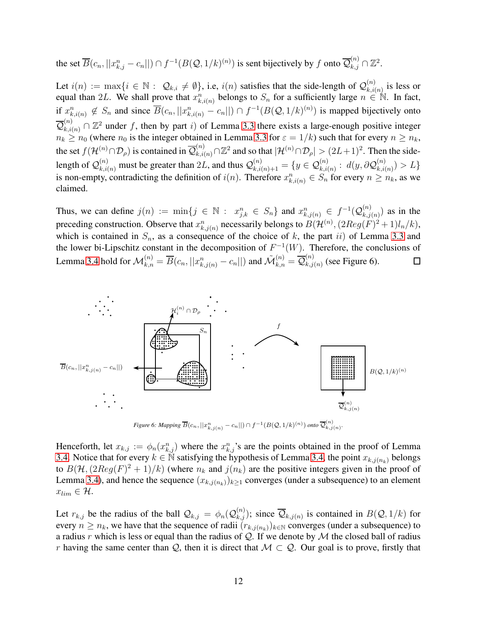the set  $\overline{B}(c_n,||x_{k,j}^n-c_n||) \cap f^{-1}(B(\mathcal{Q},1/k)^{(n)})$  is sent bijectively by  $f$  onto  $\overline{\mathcal{Q}}_{k,j}^{(n)} \cap \mathbb{Z}^2$ .

Let  $i(n) := \max\{i \in \mathbb{N} : \mathcal{Q}_{k,i} \neq \emptyset\}$ , i.e,  $i(n)$  satisfies that the side-length of  $\mathcal{Q}_{k,i}^{(n)}$  $\binom{n}{k,i(n)}$  is less or equal than 2L. We shall prove that  $x_{k,i(n)}^n$  belongs to  $S_n$  for a sufficiently large  $n \in \mathbb{N}$ . In fact, if  $x_{k,i(n)}^n \notin S_n$  and since  $\overline{B}(c_n,||x_{k,i(n)}^n - c_n||) \cap f^{-1}(B(\mathcal{Q}, 1/k)^{(n)})$  is mapped bijectively onto  $\mathcal{Q}$  $\mathcal{L}_{k,i(n)}^{(n)} \cap \mathbb{Z}^2$  under f, then by part i) of Lemma [3.3](#page-9-0) there exists a large-enough positive integer  $n_k \geq n_0$  (where  $n_0$  is the integer obtained in Lemma [3.3](#page-9-0) for  $\varepsilon = 1/k$ ) such that for every  $n \geq n_k$ , the set  $f(\mathcal{H}^{(n)} \cap \mathcal{D}_{\rho})$  is contained in  $\overline{\mathcal{Q}}_{k,i(n)}^{(n)} \cap \mathbb{Z}^2$  and so that  $|\mathcal{H}^{(n)} \cap \mathcal{D}_{\rho}| > (2L+1)^2$ . Then the sidelength of  $\mathcal{Q}^{(n)}_{k,i(n)}$  must be greater than  $2L$ , and thus  $\mathcal{Q}^{(n)}_{k,i(n)+1}=\{y\in\mathcal{Q}^{(n)}_{k,i(n)}:\ d(y,\partial\mathcal{Q}^{(n)}_{k,i(n)}\)$  $\binom{n}{k,i(n)} > L$ is non-empty, contradicting the definition of  $i(n)$ . Therefore  $x_{k,i(n)}^n \in S_n$  for every  $n \ge n_k$ , as we claimed.

Thus, we can define  $j(n) := \min\{j \in \mathbb{N} : x_{j,k}^n \in S_n\}$  and  $x_{k,j(n)}^n \in f^{-1}(\mathcal{Q}_{k,j}^{(n)})$  $\binom{n}{k,j(n)}$  as in the preceding construction. Observe that  $x_{k,j(n)}^n$  necessarily belongs to  $B(\mathcal{H}^{(n)},(2Reg(F)^2+1)l_n/k),$ which is contained in  $S_n$ , as a consequence of the choice of k, the part ii) of Lemma [3.3](#page-9-0) and the lower bi-Lipschitz constant in the decomposition of  $F^{-1}(W)$ . Therefore, the conclusions of Lemma [3.4](#page-10-0) hold for  $\mathcal{M}_{k,n}^{(n)}=\overline{B}(c_n,||x_{k,j(n)}^n-c_n||)$  and  $\tilde{\mathcal{M}}_{k,n}^{(n)}=\overline{\mathcal{Q}}_{k,j}^{(n)}$  $\binom{n}{k,j(n)}$  (see Figure 6).  $\Box$ 



*Figure 6: Mapping*  $\overline{B}(c_n,||x^n_{k,j(n)}-c_n||) \cap f^{-1}(B(\mathcal{Q},1/k)^{(n)})$  onto  $\overline{\mathcal{Q}}^{(n)}_{k,j(n)}$ .

Henceforth, let  $x_{k,j} := \phi_n(x_{k,j}^n)$  where the  $x_{k,j}^n$ 's are the points obtained in the proof of Lemma [3.4.](#page-10-0) Notice that for every  $k \in \tilde{N}$  satisfying the hypothesis of Lemma [3.4,](#page-10-0) the point  $x_{k,j(n_k)}$  belongs to  $B(\mathcal{H}, (2Reg(F)^2 + 1)/k)$  (where  $n_k$  and  $j(n_k)$  are the positive integers given in the proof of Lemma [3.4\)](#page-10-0), and hence the sequence  $(x_{k,j(n_k)})_{k\geq 1}$  converges (under a subsequence) to an element  $x_{lim} \in \mathcal{H}.$ 

Let  $r_{k,j}$  be the radius of the ball  $\mathcal{Q}_{k,j} = \phi_n(\mathcal{Q}_{k,j}^{(n)})$ ; since  $\overline{\mathcal{Q}}_{k,j(n)}$  is contained in  $B(\mathcal{Q}, 1/k)$  for every  $n \geq n_k$ , we have that the sequence of radii  $(r_{k,j(n_k)})_{k \in \mathbb{N}}$  converges (under a subsequence) to a radius r which is less or equal than the radius of Q. If we denote by M the closed ball of radius r having the same center than Q, then it is direct that  $M \subset Q$ . Our goal is to prove, firstly that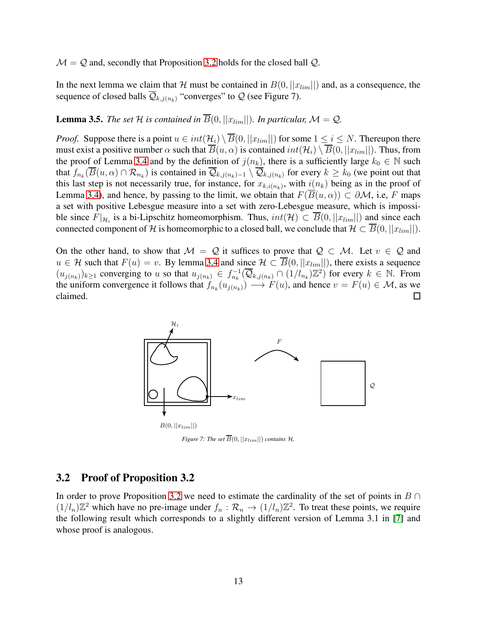$\mathcal{M} = \mathcal{Q}$  and, secondly that Proposition [3.2](#page-8-2) holds for the closed ball  $\mathcal{Q}$ .

In the next lemma we claim that H must be contained in  $B(0, ||x_{lim}||)$  and, as a consequence, the sequence of closed balls  $\overline{Q}_{k,j(n_k)}$  "converges" to  $Q$  (see Figure 7).

## <span id="page-12-0"></span>**Lemma 3.5.** *The set*  $H$  *is contained in*  $\overline{B}(0, ||x_{lim}||)$ *. In particular,*  $M = Q$ *.*

*Proof.* Suppose there is a point  $u \in int(\mathcal{H}_i) \setminus \overline{B}(0, ||x_{lim}||)$  for some  $1 \le i \le N$ . Thereupon there must exist a positive number  $\alpha$  such that  $\overline{B}(u, \alpha)$  is contained  $int(\mathcal{H}_i) \setminus \overline{B}(0, ||x_{lim}||)$ . Thus, from the proof of Lemma [3.4](#page-10-0) and by the definition of  $j(n_k)$ , there is a sufficiently large  $k_0 \in \mathbb{N}$  such that  $f_{n_k}(B(u,\alpha)\cap\mathcal{R}_{n_k})$  is contained in  $\mathcal{Q}_{k,j(n_k)-1}\setminus\mathcal{Q}_{k,j(n_k)}$  for every  $k\geq k_0$  (we point out that this last step is not necessarily true, for instance, for  $x_{k,i(n_k)}$ , with  $i(n_k)$  being as in the proof of Lemma [3.4\)](#page-10-0), and hence, by passing to the limit, we obtain that  $F(B(u, \alpha)) \subset \partial M$ , i.e, F maps a set with positive Lebesgue measure into a set with zero-Lebesgue measure, which is impossible since  $F|_{\mathcal{H}_i}$  is a bi-Lipschitz homeomorphism. Thus,  $int(\mathcal{H}) \subset B(0, ||x_{lim}||)$  and since each connected component of H is homeomorphic to a closed ball, we conclude that  $\mathcal{H} \subset B(0, ||x_{lim}||)$ .

On the other hand, to show that  $\mathcal{M} = \mathcal{Q}$  it suffices to prove that  $\mathcal{Q} \subset \mathcal{M}$ . Let  $v \in \mathcal{Q}$  and  $u \in \mathcal{H}$  such that  $F(u) = v$ . By lemma [3.4](#page-10-0) and since  $\mathcal{H} \subset \overline{B}(0, ||x_{lim}||)$ , there exists a sequence  $(u_{j(n_k)})_{k\geq 1}$  converging to u so that  $u_{j(n_k)} \in f_{n_k}^{-1}(\overline{Q}_{k,j(n_k)} \cap (1/l_{n_k})\mathbb{Z}^2)$  for every  $k \in \mathbb{N}$ . From the uniform convergence it follows that  $f_{n_k}(u_{j(n_k)}) \longrightarrow F(u)$ , and hence  $v = F(u) \in M$ , as we claimed.



*Figure 7: The set*  $\overline{B}(0, ||x_{lim}||)$  *contains*  $\mathcal{H}$ *.* 

#### 3.2 Proof of Proposition 3.2

In order to prove Proposition [3.2](#page-8-2) we need to estimate the cardinality of the set of points in  $B \cap$  $(1/l_n)\mathbb{Z}^2$  which have no pre-image under  $f_n : \mathcal{R}_n \to (1/l_n)\mathbb{Z}^2$ . To treat these points, we require the following result which corresponds to a slightly different version of Lemma 3.1 in [\[7\]](#page-15-12) and whose proof is analogous.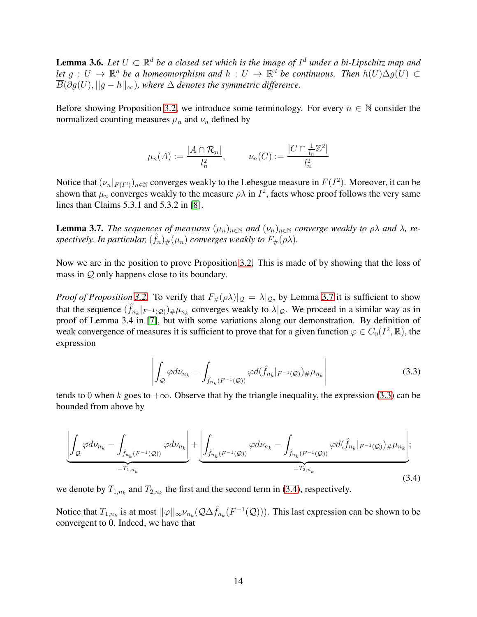<span id="page-13-3"></span>**Lemma 3.6.** Let  $U \subset \mathbb{R}^d$  be a closed set which is the image of  $I^d$  under a bi-Lipschitz map and *let*  $g: U \to \mathbb{R}^d$  *be a homeomorphism and*  $h: U \to \mathbb{R}^d$  *be continuous. Then*  $h(U) \Delta g(U) \subset$  $\overline{B}(\partial g(U), ||g - h||_{\infty})$ , where  $\Delta$  denotes the symmetric difference.

Before showing Proposition [3.2,](#page-8-2) we introduce some terminology. For every  $n \in \mathbb{N}$  consider the normalized counting measures  $\mu_n$  and  $\nu_n$  defined by

$$
\mu_n(A) := \frac{|A \cap \mathcal{R}_n|}{l_n^2}, \qquad \nu_n(C) := \frac{|C \cap \frac{1}{l_n} \mathbb{Z}^2|}{l_n^2}
$$

Notice that  $(\nu_n|_{F(I^2)})_{n\in\mathbb{N}}$  converges weakly to the Lebesgue measure in  $F(I^2)$ . Moreover, it can be shown that  $\mu_n$  converges weakly to the measure  $\rho \lambda$  in  $I^2$ , facts whose proof follows the very same lines than Claims 5.3.1 and 5.3.2 in [\[8\]](#page-15-10).

<span id="page-13-0"></span>**Lemma 3.7.** *The sequences of measures*  $(\mu_n)_{n \in \mathbb{N}}$  *and*  $(\nu_n)_{n \in \mathbb{N}}$  *converge weakly to*  $\rho \lambda$  *and*  $\lambda$ *, re*spectively. In particular,  $(\hat{f}_n)_\#(\mu_n)$  converges weakly to  $F_\#(\rho\lambda)$ .

Now we are in the position to prove Proposition [3.2.](#page-8-2) This is made of by showing that the loss of mass in Q only happens close to its boundary.

*Proof of Proposition* [3.2.](#page-8-2) To verify that  $F_{\#}(\rho \lambda)|_{\mathcal{Q}} = \lambda|_{\mathcal{Q}}$ , by Lemma [3.7](#page-13-0) it is sufficient to show that the sequence  $(\hat{f}_{n_k}|_{F^{-1}(\mathcal{Q})})_{\#}\mu_{n_k}$  converges weakly to  $\lambda|_{\mathcal{Q}}$ . We proceed in a similar way as in proof of Lemma 3.4 in [\[7\]](#page-15-12), but with some variations along our demonstration. By definition of weak convergence of measures it is sufficient to prove that for a given function  $\varphi \in C_0(I^2, \mathbb{R})$ , the expression

<span id="page-13-1"></span>
$$
\left| \int_{\mathcal{Q}} \varphi d\nu_{n_k} - \int_{\hat{f}_{n_k}(F^{-1}(\mathcal{Q}))} \varphi d(\hat{f}_{n_k}|_{F^{-1}(\mathcal{Q})}) \# \mu_{n_k} \right| \tag{3.3}
$$

tends to 0 when k goes to  $+\infty$ . Observe that by the triangle inequality, the expression [\(3.3\)](#page-13-1) can be bounded from above by

<span id="page-13-2"></span>
$$
\underbrace{\left| \int_{\mathcal{Q}} \varphi d\nu_{n_{k}} - \int_{\hat{f}_{n_{k}}(F^{-1}(\mathcal{Q}))} \varphi d\nu_{n_{k}} \right|}_{=T_{1,n_{k}}} + \underbrace{\left| \int_{\hat{f}_{n_{k}}(F^{-1}(\mathcal{Q}))} \varphi d\nu_{n_{k}} - \int_{\hat{f}_{n_{k}}(F^{-1}(\mathcal{Q}))} \varphi d(\hat{f}_{n_{k}}|_{F^{-1}(\mathcal{Q}))} \right|}_{=T_{2,n_{k}}} + \underbrace{\left| \int_{\hat{f}_{n_{k}}(F^{-1}(\mathcal{Q}))} \varphi d(\hat{f}_{n_{k}}|_{F^{-1}(\mathcal{Q}))} \right|}_{=T_{2,n_{k}}} + \underbrace{\left| \int_{\hat{f}_{n_{k}}(F^{-1}(\mathcal{Q}))} \varphi d(\hat{f}_{n_{k}}|_{F^{-1}(\mathcal{Q}))} \right|}_{=T_{2,n_{k}}} + \underbrace{\left| \int_{\hat{f}_{n_{k}}(F^{-1}(\mathcal{Q}))} \varphi d(\hat{f}_{n_{k}}|_{F^{-1}(\mathcal{Q}))} \right|}_{=T_{2,n_{k}}} + \underbrace{\left| \int_{\hat{f}_{n_{k}}(F^{-1}(\mathcal{Q}))} \varphi d\nu_{n_{k}} \right|}_{=T_{2,n_{k}}} + \underbrace{\left| \int_{\hat{f}_{n_{k}}(F^{-1}(\mathcal{Q}))} \varphi d\nu_{n_{k}} \right|}_{=T_{2,n_{k}}} + \underbrace{\left| \int_{\hat{f}_{n_{k}}(F^{-1}(\mathcal{Q}))} \varphi d\nu_{n_{k}} \right|}_{=T_{2,n_{k}}} + \underbrace{\left| \int_{\hat{f}_{n_{k}}(F^{-1}(\mathcal{Q}))} \varphi d\nu_{n_{k}} \right|}_{=T_{2,n_{k}}} + \underbrace{\left| \int_{\hat{f}_{n_{k}}(F^{-1}(\mathcal{Q}))} \varphi d\nu_{n_{k}} \right|}_{=T_{2,n_{k}}} + \underbrace{\left| \int_{\hat{f}_{n_{k}}(F^{-1}(\mathcal{Q}))} \varphi d\nu_{n_{k}} \right|}_{=T_{2,n_{k}}} + \underbrace{\left| \int_{\hat{f}_{n_{k}}(F^{-1}(\mathcal{Q}))} \varphi d\nu_{n_{k}} \right|}_{=T_{2
$$

we denote by  $T_{1,n_k}$  and  $T_{2,n_k}$  the first and the second term in [\(3.4\)](#page-13-2), respectively.

Notice that  $T_{1,n_k}$  is at most  $||\varphi||_{\infty} \nu_{n_k}(\mathcal{Q}\Delta \hat{f}_{n_k}(F^{-1}(\mathcal{Q})))$ . This last expression can be shown to be convergent to 0. Indeed, we have that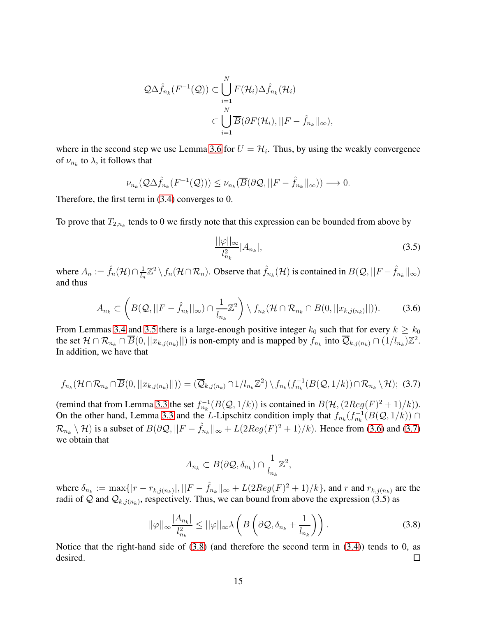$$
\mathcal{Q}\Delta\hat{f}_{n_k}(F^{-1}(\mathcal{Q})) \subset \bigcup_{i=1}^N F(\mathcal{H}_i)\Delta\hat{f}_{n_k}(\mathcal{H}_i)
$$
  

$$
\subset \bigcup_{i=1}^N \overline{B}(\partial F(\mathcal{H}_i),||F-\hat{f}_{n_k}||_{\infty}),
$$

where in the second step we use Lemma [3.6](#page-13-3) for  $U = H_i$ . Thus, by using the weakly convergence of  $\nu_{n_k}$  to  $\lambda$ , it follows that

$$
\nu_{n_k}(\mathcal{Q}\Delta\hat{f}_{n_k}(F^{-1}(\mathcal{Q}))) \leq \nu_{n_k}(\overline{B}(\partial\mathcal{Q},||F-\hat{f}_{n_k}||_{\infty})) \longrightarrow 0.
$$

Therefore, the first term in [\(3.4\)](#page-13-2) converges to 0.

To prove that  $T_{2,n_k}$  tends to 0 we firstly note that this expression can be bounded from above by

$$
\frac{||\varphi||_{\infty}}{l_{n_k}^2}|A_{n_k}|,\tag{3.5}
$$

where  $A_n := \hat{f}_n(\mathcal{H}) \cap \frac{1}{l_n}$  $\frac{1}{l_n}\mathbb{Z}^2\setminus f_n(\mathcal{H}\cap\mathcal{R}_n)$ . Observe that  $\hat{f}_{n_k}(\mathcal{H})$  is contained in  $B(\mathcal{Q},||F-\hat{f}_{n_k}||_{\infty})$ and thus

<span id="page-14-0"></span>
$$
A_{n_k} \subset \left( B(\mathcal{Q},||F-\hat{f}_{n_k}||_{\infty}) \cap \frac{1}{l_{n_k}} \mathbb{Z}^2 \right) \setminus f_{n_k}(\mathcal{H} \cap \mathcal{R}_{n_k} \cap B(0,||x_{k,j(n_k)}||)). \tag{3.6}
$$

From Lemmas [3.4](#page-10-0) and [3.5](#page-12-0) there is a large-enough positive integer  $k_0$  such that for every  $k \geq k_0$ the set  $\mathcal{H} \cap \mathcal{R}_{n_k} \cap \overline{B}(0,||x_{k,j(n_k)}||)$  is non-empty and is mapped by  $f_{n_k}$  into  $\overline{\mathcal{Q}}_{k,j(n_k)} \cap (1/l_{n_k})\mathbb{Z}^2$ . In addition, we have that

<span id="page-14-1"></span>
$$
f_{n_k}(\mathcal{H} \cap \mathcal{R}_{n_k} \cap \overline{B}(0,||x_{k,j(n_k)}||)) = (\overline{\mathcal{Q}}_{k,j(n_k)} \cap 1/l_{n_k} \mathbb{Z}^2) \setminus f_{n_k}(f_{n_k}^{-1}(B(\mathcal{Q}, 1/k)) \cap \mathcal{R}_{n_k} \setminus \mathcal{H});
$$
(3.7)

(remind that from Lemma [3.3](#page-9-0) the set  $f_{n_k}^{-1}(B(Q, 1/k))$  is contained in  $B(\mathcal{H}, (2Reg(F)^2 + 1)/k)$ ). On the other hand, Lemma [3.3](#page-9-0) and the L-Lipschitz condition imply that  $f_{n_k}(f_{n_k}^{-1}(B(Q, 1/k)) \cap$  $\mathcal{R}_{n_k} \setminus \mathcal{H}$ ) is a subset of  $B(\partial \mathcal{Q}, ||F - \hat{f}_{n_k}||_{\infty} + L(2Reg(F)^2 + 1)/k)$ . Hence from [\(3.6\)](#page-14-0) and [\(3.7\)](#page-14-1) we obtain that

$$
A_{n_k} \subset B(\partial \mathcal{Q}, \delta_{n_k}) \cap \frac{1}{l_{n_k}}\mathbb{Z}^2,
$$

where  $\delta_{n_k} := \max\{|r - r_{k,j(n_k)}|, ||F - \hat{f}_{n_k}||_{\infty} + L(2Reg(F)^2 + 1)/k\}$ , and r and  $r_{k,j(n_k)}$  are the radii of Q and  $\mathcal{Q}_{k,j(n_k)}$ , respectively. Thus, we can bound from above the expression (3.5) as

<span id="page-14-2"></span>
$$
||\varphi||_{\infty} \frac{|A_{n_k}|}{l_{n_k}^2} \le ||\varphi||_{\infty} \lambda \left(B\left(\partial \mathcal{Q}, \delta_{n_k} + \frac{1}{l_{n_k}}\right)\right). \tag{3.8}
$$

Notice that the right-hand side of [\(3.8\)](#page-14-2) (and therefore the second term in [\(3.4\)](#page-13-2)) tends to 0, as desired. □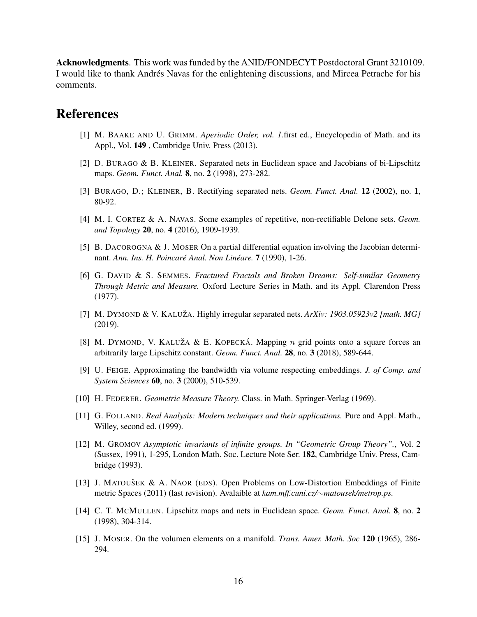Acknowledgments. This work was funded by the ANID/FONDECYT Postdoctoral Grant 3210109. I would like to thank Andrés Navas for the enlightening discussions, and Mircea Petrache for his comments.

## <span id="page-15-3"></span>References

- <span id="page-15-5"></span>[1] M. BAAKE AND U. GRIMM. *Aperiodic Order, vol. 1.*first ed., Encyclopedia of Math. and its Appl., Vol. 149 , Cambridge Univ. Press (2013).
- <span id="page-15-4"></span>[2] D. BURAGO & B. KLEINER. Separated nets in Euclidean space and Jacobians of bi-Lipschitz maps. *Geom. Funct. Anal.* 8, no. 2 (1998), 273-282.
- <span id="page-15-7"></span>[3] BURAGO, D.; KLEINER, B. Rectifying separated nets. *Geom. Funct. Anal.* 12 (2002), no. 1, 80-92.
- <span id="page-15-8"></span>[4] M. I. CORTEZ & A. NAVAS. Some examples of repetitive, non-rectifiable Delone sets. *Geom. and Topology* 20, no. 4 (2016), 1909-1939.
- <span id="page-15-13"></span>[5] B. DACOROGNA & J. MOSER On a partial differential equation involving the Jacobian determinant. *Ann. Ins. H. Poincare Anal. Non Lin ´ eare. ´* 7 (1990), 1-26.
- [6] G. DAVID & S. SEMMES. *Fractured Fractals and Broken Dreams: Self-similar Geometry Through Metric and Measure.* Oxford Lecture Series in Math. and its Appl. Clarendon Press (1977).
- <span id="page-15-12"></span><span id="page-15-10"></span>[7] M. DYMOND & V. KALUŽA. Highly irregular separated nets.  $ArXiv: 1903.05923v2$  [math. MG] (2019).
- [8] M. DYMOND, V. KALUŽA & E. KOPECKÁ. Mapping n grid points onto a square forces an arbitrarily large Lipschitz constant. *Geom. Funct. Anal.* 28, no. 3 (2018), 589-644.
- <span id="page-15-2"></span>[9] U. FEIGE. Approximating the bandwidth via volume respecting embeddings. *J. of Comp. and System Sciences* 60, no. 3 (2000), 510-539.
- <span id="page-15-11"></span>[10] H. FEDERER. *Geometric Measure Theory.* Class. in Math. Springer-Verlag (1969).
- <span id="page-15-1"></span>[11] G. FOLLAND. *Real Analysis: Modern techniques and their applications.* Pure and Appl. Math., Willey, second ed. (1999).
- [12] M. GROMOV *Asymptotic invariants of infinite groups. In "Geometric Group Theory".*, Vol. 2 (Sussex, 1991), 1-295, London Math. Soc. Lecture Note Ser. 182, Cambridge Univ. Press, Cambridge (1993).
- <span id="page-15-0"></span>[13] J. MATOUŠEK & A. NAOR (EDS). Open Problems on Low-Distortion Embeddings of Finite metric Spaces (2011) (last revision). Avalaible at *kam.mff.cuni.cz/*∼*matousek/metrop.ps.*
- <span id="page-15-6"></span>[14] C. T. MCMULLEN. Lipschitz maps and nets in Euclidean space. *Geom. Funct. Anal.* 8, no. 2 (1998), 304-314.
- <span id="page-15-9"></span>[15] J. MOSER. On the volumen elements on a manifold. *Trans. Amer. Math. Soc* 120 (1965), 286- 294.